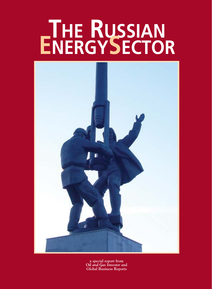# **THE RUSSIAN ENERGYSECTOR**



**a special report from**  *Oil and Gas Investor* **and Global Business Reports**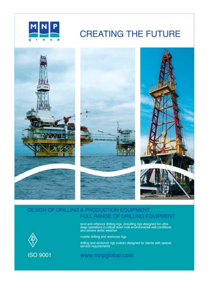

# **CREATING THE FUTURE**



# DESIGN OF DRILLING & PRODUCTION EQUIPMENT FULL RANGE OF DRILLING EQUIPMENT

land and offshore drilling rigs, including rigs designed for ultra-<br>deep operations in critical down-hole environmental well conditions<br>and severe arctic weather



**ISO 9001** 

mobile drilling and workover rigs

drilling and workover rigs custom designed for clients with special service requirements.

# www.mnpglobal.com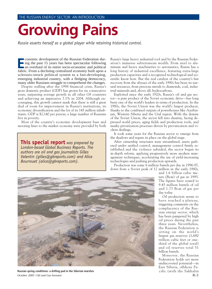# **Growing Pains**

*Russia asserts herself as a global player while retaining historical control.*

**EXECUTE:** Conomic development of the Russian Federation during the past 15 years has been spectacular following an overhaul of its entire socio-economic and political fabric. From a declining centralized economy built upo I ing the past 15 years has been spectacular following an overhaul of its entire socio-economic and political fabric. From a declining centralized economy built upon a sclerosis-struck political system to a fast-developing, emerging industrial country, with a fledging democracy, many older Russians struggle to comprehend the changes.

Despite stalling after the 1998 financial crisis, Russia's gross domestic product (GDP) has grown for six consecutive years, surpassing average growth in all other G8 countries and achieving an impressive 7.1% in 2004. Although encouraging, this growth cannot mask that there is still a great deal of room for improvement in Russia's institutions, its economic diversification and the lot of its 145 million inhabitants. GDP is \$2,140 per person; a large number of Russians live in poverty.

Most of the country's economic development base and mooring lines to the market economy were provided by both

**This special report** *was prepared by London-based Global Business Reports. The authors are oil and gas journalists Gilles Valentin (gilles@gbreports.com) and Alice Bourrouet (alice@gbreports.com).*

Russia's large heavy industrial tool and by the Russian Federation's immense subterranean wealth. From steel to aluminum and heavy machineries to aeronautics, Russia has a long history of industrial excellence, featuring extra-large production capacities and a recognized technological and scientific know how. But the real catalyst of the country's fast recovery from the abysses of the early 1990s has been its natural resources, from precious metals to diamonds, coal, industrial minerals and, above all, hydrocarbons.

Exploited since the early 1920s, Russia's oil and gas sector—a pure product of the Soviet economic drive—has long been one of the world's leaders in terms of production. In the 1980s, the Soviet Union was the world's largest producer, thanks to the combined outputs of powerhouses like Azerbaijan, Western Siberia and the Ural region. With the demise of the Soviet Union, the sector fell into disarray, facing depressed world prices, aging fields and production tools, and murky privatization processes driven by prevarication and violent dealings.

It took some years for the Russian sector to emerge from the shadows and regain its place on the global stage.

After ownership structures were streamlined, assets gathered under unified control, management control firmly established and the violence subsided, the sector began its in-depth reform, applying progressively more modern management techniques, accelerating the use of yield-increasing technologies and pushing production upwards.

Production was some 6 million barrels per day in 1996-97, down from a Soviet peak of 12 million in the early 1980s,



**Russian spring conditions: a drilling pad in the Siberian marshes** *October 2005* ▪ *Oil and Gas Investor* R-3

and 1.6 billion cubic meters (Bcm) of gas in 1995. The figures have soared to 9.45 million barrels of oil and 1.73 Bcm of gas per day today.

Oil production seems to have reached a plateau, triggering comments on the complacency of the Russian energy sector, which has been pampered by high oil prices during the past three years. Nevertheless, the Russian Federation is sitting on the world's largest gas reserves (1,680 trillion cubic feet or onethird of the global total) and oil reserves total 51 billion barrels.

Moreover, the Russian Federation holds yet more undiscovered potential—in East Siberia, offshore Pacific (with the Sakhalin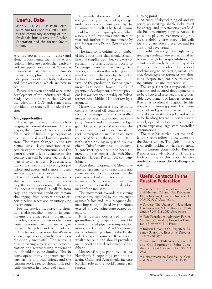## **Useful Date**

June 20-21, 2006: Russian Petroleum and Gas Congress, 2006. This is the compulsory meeting of professionals from across the Russian Federation and the former Soviet Union.

Archipelago as a point in case) and along its continental shelf, in its Arctic regions. These are besides the relatively well-mapped reserves of Western Siberia that make the bulk of Russia's output today, plus the reserves in the older provinces of the Urals, Tatarstan and Bashkortostan, which are now in decline.

Future discoveries should accelerate development of the industry, which already accounts for more than 20% of the federation's GDP and, some years, provides more than 40% of federal revenue.

### **Entry opportunities**

Today's picture might appear challenging to potential entrants. For the majors, the infamous Yukos affair is still felt outside of Russia in perception of investment risk and business protection. The many changes in the tax regime, subsoil laws, conditions of access to export infrastructure, and the general erratic legal climate of the country can still be perceived as detrimental to investment. Nevertheless, the world's majors are jockeying for positions and assets, and rumors of deals are reaching climactic levels.

For independents, the situation is also far from straightforward, as predatory Russian majors remain threatening, access to capital is still far from easy, and operating conditions remain challenging, from harsh winters to export-pipeline access and an unforgiving tax structure.

For the service industry, the situation is also peculiar—most of its components are either part of oil majors, providing services to their mother companies, or former parts that are trying to reinvent themselves and their markets.

This leaves some room for Western service operators, which have been reasonably successful. The sector is now initiating a very active concentration and restructuring movement that should re-shape durably. This in turns opens many opportunities for partnerships and acquisitions, and the Russian service sector should look radically different in a couple of years.

Ultimately, the transitional Russian energy industry is illustrated by changes under way now and instigated by the Russian state itself. The legal regime should witness a major upheaval when a new subsoil law comes into effect at year-end, further to its amendment by the federation's Duma (lower chamber).

The industry is waiting for a number of key dispositions that should streamline and simplify E&P, but very wary of forthcoming restrictions of access to "strategic reserves" for foreign investors, a limitation that is being monitored with apprehension by the global hydrocarbon industry. A possible revival of the production-sharing agreement law could boost levels of greenfield development, after the previous law was scrapped notably on Yukos' former boss, Mikhail Khodorkovsky's, injunction.

Meanwhile, Russia is busy trying to create a national oil company to protect its sovereign interests. A stalled merger between state-owned oil company Rosneft and state-controlled gas giant Gazprom paved the way for the Russian government to increase its direct participation in Gazprom, now controlled 51% by the state, while Rosneft, after having acquired on the cheap Yukos' main production unit, Yuganskneftegas, has since been rumored to be in merger talks with Shell and fifth-largest Russian oil company Sibneft.

Since then, Gazprom and Shell have entered agreements to swap assets and there are obvious indications that the public-owned oil and gas companies in Russia are there to stay, and will play very central roles in the future development of the industry.

The movement towards reasserting state control signaled by the onslaught against Yukos and its subsequent dismantling is highlighted by the efforts exerted in developing state-owned operators.

It is further confirmed by the groundbreaking projects nurtured by state-controlled pipeline transportation monopoly Transneft. A 4,130-kilometer (2,566-mile) pipeline to the Pacific will transport some of Russia's oil wealth to Asia and should provide a major boost to the development of East Siberia.

Meanwhile, gas pipelines to the Northern Europe pipeline and to, again, China and Asia should increase Russia's role as the world's largest gas supplier.

### **Turning point**

At times of skyrocketing oil and gas prices, an inextinguishable global thirst for energy, and uncertainties over Middle Eastern energy supply, Russia is poised to play an ever-increasing role on the global energy stage. This calls for a vigilant state presence, and for controlled development.

Should Russia go the right way, treading carefully between national interests and global responsibilities, the country will surely be the hot spot for the next two decades. The risks of backtracking to an erratic, unsafe and unwelcoming environment are slimming, despite frequent hiccups involving nationalism and protectionism.

The stage is set for a responsible, rewarding and secured development of to-be-discovered reserves, and a responsible development of known resources. Russia, as so often throughout its history, is at a turning point. The country's oil and gas sector is reaching a critical time in its life cycle, and seems to be heading towards a conventional model, opened to foreign investment, yet encompassing large state-controlled organizations.

The dust has settled over the challenging years following the demise of the Soviet Union. The global industry is carefully looking at what is emerging in this Eastern giant. Global Business Reports met with Russian industry leaders to prepare this report. It is intended to present the challenges at stake.  $\Box$ 

### **Useful Contacts in the Russian Federation**

• Assoneft: The Association of Small and Medium Oil and Gas Producers. Elena Korzun, General Director, +7 095 937 5617, Assoneft.ru

• Soyugaz: The Union of Independent Gas Producers. Viktor Baranov, President, +7 095 231 2962, Soyuzgaz.ru

• Paf: Petroleum Advisory Forum. Vladimir Konovalov, Executive Director, +7 095 956 3714, Paf.ru

• Russian Union of Oil Exporters. Eugeney Samoilov, Executive Director, +7 095 230 0067

• The Union of Manufacturers of Oil and Gas Equipment. Felix Lubashevsky, Co-Chairman, +7 095 933 0621

• Nefteconsortium. Faris Valiev. General Director, +7 (855572) 37 38 35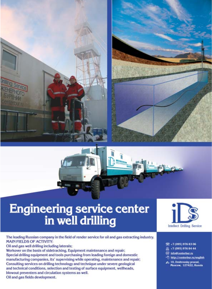





# Engineering service center<br>in well drilling

The leading Russian company in the field of render service for oil and gas extracting industry. **MAIN FIELDS OF ACTIVITY:** Oil and gas well drilling including laterals; Workover on the basis of sidetracking, Equipment maintenance and repair; Special drilling equipment and tools purchasing from leading foreign and domestic manufacturing companies, its' supervising while operating, maintenance and repair; Consulting services on drilling technology and technique under severe geological and technical conditions, selection and testing of surface equipment, wellheads, blowout preventers and circulation systems as well. Oil and gas fields development.



- 图 +7 (095) 976 83 06
- 四 +7 (095) 976 84 44
- @ info@centerbur.ru
- http://centerbur.ru/english
- 2<sub>0</sub> 10, Dmitrovsky proezd, Moscow, 127422, Russia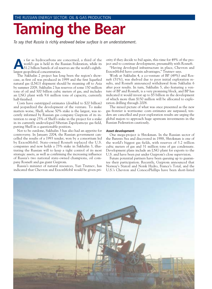# **Taming the Bear**

*To say that Russia is richly endowed below surface is an understatement.* 

**A**s far as hydrocarbons are concerned, a third of the world's gas is held in the Russian Federation, while its 51.2 billion barrels of oil reserves are the world's eighthlargest geopolitical concentration.

The Sakhalin 2 project has long been the region's showcase, as first oil was produced in 1999 and the first liquefied natural gas (LNG) shipment should be steaming off to Asia by summer 2008. Sakhalin 2 has reserves of some 150 million tons of oil and 500 billion cubic meters of gas, and includes an LNG plant with 9.6 million tons of capacity, currently half-finished.

Costs have outstripped estimates (doubled to \$20 billion) and jeopardized the development of the venture. To make matters worse, Shell, whose 50% stake is the largest, was recently informed by Russian gas company Gazprom of its intention to swap 25% of Shell's stake in the project for a stake in its currently undeveloped Siberian Zapolyarnoye gas field, putting Shell in a questionable position.

Not to be outdone, Sakhalin 3 has also had an appetite for controversy. In January 2004, the Russian government cancelled the results of a 1993 tender, won by a consortium led by ExxonMobil. State-owned Rosneft replaced the U.S. companies and now holds a 75% stake in Sakhalin 3, illustrating the Russian will to keep a tight control of its most strategic assets, as well as confirming the increasing influence of Russia's two national state-owned champions, oil company Rosneft and gas giant Gazprom.

Russia's minister of natural resources, Yuri Trutnev, has indicated that Chevron and ExxonMobil would be given priority if they decide to bid again, this time for 49% of the project and to continue development, presumably with Rosneft.

"Having developed infrastructure in place, Chevron and ExxonMobil have certain advantages," Trutnev says.

Work at Sakhalin 4, a co-venture of BP (49%) and Rosneft (51%), was shelved due to poor initial exploration results, and Rosneft announced withdrawal from Sakhalin 6 after poor results. In turn, Sakhalin 5, also featuring a venture of BP and Rosneft, is a very promising block, and BP has indicated it would invest up to \$5 billion in the development of which more than \$150 million will be allocated to exploration drilling through 2008.

The mixed picture of what was once presented as the new gas frontier is worrisome: costs estimates are surpassed, tenders are cancelled and poor exploration results are urging the global majors to approach huge upstream investments in the Russian Federation cautiously.

#### **Asset development**

One mega-project is Shtokman. In the Russian sector of the Barents Sea and discovered in 1988, Shtokman is one of the world's biggest gas fields, with reserves of 3.2 trillion cubic meters of gas and 31 million tons of gas condensate. Development plans include an LNG plant for exports to the U.S. and have been put under Gazprom's close supervision.

Future potential partners have been queuing up to guarantee their participation. Recently, Gazprom announced that Norway's Statoil and Norsk Hydro, France's Total, and the U.S.'s Chevron and ConocoPhillips have been short-listed

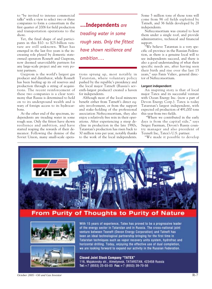to "be invited to intense commercial talks" with a view to select two or three companies to form a consortium in the first quarter of 2006 for field production and transportation operations to the shore.

Yet, the final shape of and participants in this \$10- to \$25-billion venture are still unknown. What has emerged in the last five years is the increasing role played by domestic stateowned operators Rosneft and Gazprom, now deemed unavoidable partners for any large-scale project and are very potent partners.

Gazprom is the world's largest gas producer and distributor, while Rosneft has been beefing up its oil reserves and production through a string of acquisitions. The recent reinforcement of these two companies is a clear testimony that Russia is determined to hold on to its underground wealth and is wary of foreign access to its hydrocarbons.

At the other end of the spectrum, independents are treading water in some rough seas. Only the fittest have shown resilience and ambition, and have started reaping the rewards of their demeanor. Following the demise of the Soviet Union, many small-scale opera-

**…Independents** *are treading water in some rough seas. Only the fittest have shown resilience and ambition….*

tions sprung up, most notably in Tatarstan, where voluntary policy pushed by the republic's presidency and the local major Tatneft (Russia's seventh-largest producer) created a haven for independents.

Although most of the local minnows benefit either from Tatneft's direct equity involvement, or from the support and stake-holding of the professional association Nefteconsortium, they also enjoy a relatively free rein in their operations. After experiencing a steep decline in production in the late 1980s, Tatarstan's production has risen back to 30 million tons per year, notably thanks to the work of the local independents.

Some 5 million tons of those tons will come from 96 oil fields exploited by Tatneft, and 36 fields developed by 28 independents.

Nefteconsortium was created to host them under a single roof, and provide administrative, technical and financial support.

"We believe Tatarstan is a very specific oil province in the Russian Federation, as there is a genuine local will to see independents succeed, and there is also a good understanding of what their specific needs are, after having seen their birth and rise over the last 15 years," says Fanis Valiev, general director of Nefteconsortium.

### **Largest independent**

An inspiring story is that of local major Tatex and its successful venture with Ocean Energy Inc. (now a part of Devon Energy Corp.). Tatex is today Tatarstan's largest independent, with expected oil production of 491,000 tons this year from two fields.

"Where we contributed in the early days is from the capital side," says Sergey Faerman, Devon's Russia country manager and also president of Texneft Inc, Tatex's U.S. partner.

"We made it possible to develop



*October 2005* ▪ *Oil and Gas Investor* R-7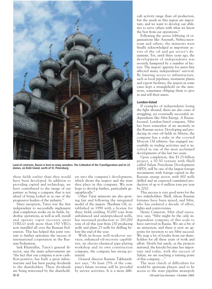

**Land of contrasts, Russia is host to many wonders: The Cathedral of the Transfiguration and its 22 domes, on Kizhi Island, north of St. Petersburg** 

these fields earlier than they would have been developed. In addition to providing capital and technology, we have contributed to the image of our partner as being a company that is not afraid of being looked at as one of the progressive leaders of the industry."

Since inception, Tatex was the first independent to successfully implement dual completion works on its fields, hydrofrac operations, as well as sell, install and operate vapor recovery units (VRUs) with more than 150 VRUs now installed all over the Russian Federation. This has helped this joint venture to further epitomize the success of international cooperation in the Russian Federation.

Irek Khairullin, Tatex's general director, says the main achievements are "the fact that our company is now cashflow-positive, has built a great infrastructure and has been paying dividends to the shareholders. These dividends are being reinvested by the sharehold-R-8 *Oil and Gas Investor* ▪ *October 2005*

ers into the company's development, which shows the respect and the trust they place in this company. We now hope to develop further, particularly geographically."

Other Tatar minnows are also growing fast and following the integrated model of the majors. Sheshma Oil, established in 1998 with a license for three fields yielding 30,000 tons from unbalanced and underproduced wells, has increased production to 285,000 tons of oil this year from 230 producing wells and plans 25 wells for drilling before the end of the year.

With in-house well-workover services, enhanced-oil-recovery capabilities, an electro-chemical pipe-plating workshop and its own construction company, the company has strong potential.

General director Rustem Takhautdinov says, "At least 25% of the company's future revenue will be provided by service activities. It is a more difficult activity range than oil production, but the needs in this region are important, and we want to develop our abilities to serve others with what we know the best from our operations."

Following the active lobbying of organizations like Assoneft, Nefteconsortium and others, the minnows were finally acknowledged as important actors of the oil and gas sector's dynamism. Yet, until three years ago, the development of independents was severely hampered by a number of factors. The majors' appetite for assets first affected many independents' survival. By limiting access to infrastructure, such as local pipelines, treatment plants and export facilities, the majors in some cases kept a stranglehold on the minnows, sometimes obliging them to give in and sell their assets.

### **London-listed**

If examples of independents losing the fight abound, there are also cases of struggling, yet eventually successful, independents like Sibir Energy. A Russiafocused, London-listed company, Sibir has been somewhat of an anomaly in the Russian sector. Developing and producing its own oil fields in Siberia, the company has a stake in the coveted Moscow Oil refinery, has engaged successfully in trading activities and is involved in one of the most acclaimed developments of the last two years.

Upon completion, this \$1.25-billion project, a 50-50 venture with Shell called Salym Petroleum Development (SPD), will be one of the largest foreign investments with foreign capital in the Russian energy sector, with 800 wells drilled and an expected cumulated production of up to 6 million tons per year by 2010.

This success is very good news for the two stakeholders: Shell, whose Russian fortunes have been mixed, and Sibir, who has endured a decade of effort, fights and controversies.

Henry Cameron, Sibir chief executive, says, "Sibir might be the only independent company of this scale to have survived in Russia. We are a bit of an attraction, and there is now an appetite for investors to see Sibir succeed. We reap a lot of loyalty from our shareholders for all these years of work and effort. Slowly but surely, as the projects matured, the knocks became less important and today, with the success of Salym, we are reaching a turning point of this company…."

The next clutch of difficulties for would-be upstream players used to be access to the state pipeline monopoly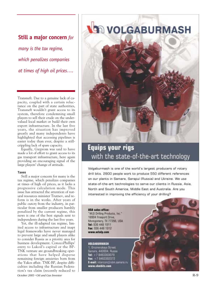### **Still a major concern** *for*

*many is the tax regime, which penalizes companies at times of high oil prices….*

Transneft. Due to a genuine lack of capacity, coupled with a certain reluctance on the part of state authorities, Transneft wouldn't grant access to its system, therefore condemning small players to sell their crude on the undervalued local market or build their own export infrastructure. In the last five years, the situation has improved greatly and many independents have highlighted that accessing pipelines is easier today than ever, despite a stillcrippling lack of spare capacity.

Equally, Gazprom was said to have made a lot of effort to grant access to its gas transport infrastructure, here again providing an encouraging signal of the large players' change of attitude.

#### **Taxes**

Still a major concern for many is the tax regime, which penalizes companies at times of high oil prices, as it lacks a progressive calculation mode. This issue has attracted the attention of natural resources minister Trutnev, and reform is in the works. After years of public outcry from the industry, in particular from smaller producers harshly penalized by the current regime, this news is one of the best signals sent to independents during the last five years.

Yet, the ill-adapted tax regime, limited access to infrastructure and inapt legal frameworks have never managed to prevent large and small players alike to consider Russia as a priority area for business development. ConocoPhillips' entry to Lukoil's capital or the BP-TNK venture are groundbreaking operations that have helped disperse remaining foreign anxieties born from the Yukos affair. TNK-BP, despite difficulties including the Russian Federation's tax claim (recently reduced to



# **Equips your rigs** with the state-of-the-art technology

Volgaburmash is one of the world's largest producers of rotary drill bits. 2800 people work to produce 550 different references on our plants in Samara, Sarapul (Russia) and Ukraine. We use state-of-the-art technologies to serve our clients in Russia, Asia, North and South America, Middle East and Australia. Are you interested in improving the efficiency of your drilling?

USA sales office: "WLS Drilling Products, Inc." 18904 Freeport Drive, Montgomery, TX 77356, USA Tel: 936 448 1911 Fax: 936 448 1912 www.wlsdp.com

VOLCABURMASH

1. Groznanskaya Street Samara, 443004, Russia Tel:  $+78463303079$ Fax: +78463302372 E-mail: intercon@vbm.samara.ru<br>www.vbmbits.com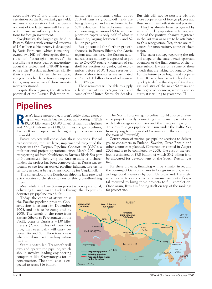acceptable levels) and unnerving uncertainties on the Kovyktinsky gas field, remains a success story. But the development of the latter issue will be a test of the Russian authority's true intentions for foreign investment.

Kovyktinsky, the largest gas field in Eastern Siberia with estimated reserves of 1.9 trillion cubic meters, is developed by Rusia Petroleum, which is majorityowned by TNK-BP. Here again, the notion of "strategic reserves" is crystallizing a great deal of uncertainty about this project and TNK-BP is eager to see the Russian authorities clarify their views. Until then, the venture, along with other large foreign corporations, may see some of their investments questioned.

Despite these signals, the attractive potential of the Russian Federation re-

### mains very important. Today, about 75% of Russia's ground-oil fields are being developed and are reckoned to be 50% exhausted. The replacement rates are worrying, at around 50%, and exploration capex is only half of what it should be, lagging between \$1- and \$2 billion per year.

But potential for further growth abounds, in Eastern Siberia, the Arctic regions and offshore. The Russian natural resources ministry is expected to put up to 240,000 square kilometers of sea shelf for auction for geological exploration before 2010. Total reserves of these offshore territories are estimated at 90- to 100 billion tons of oil equivalent, 80% gas.

These resources will be able to supply a large part of Europe's gas need and some of the United States' for decades. But this will not be possible without close cooperation of foreign players and Russian entities both state and private.

This has already been recognized by most of the key operators in Russia, and a lot of the positive changes registered in the last year or so are to be attributed to this recognition. Yet, there are still causes for uncertainty, some of them major.

The exact strategy regarding the role and shape of the state-owned upstream operators or the final content of the future subsoil law are only some of these clouds that are taking too long to clear. For the future to be bright and cooperative, Russia has to act clearly and quickly to define the shape of its oil and gas industry of the next 50 years and the degree of openness, serenity and security it is willing to guarantee.  $\Box$ 

# **Pipelines**

**R**ussia's future mega-projects aren't solely about extracting mineral wealth, but also about transporting it. With 49,000 kilometers (30,500 miles) of main oil pipelines and 222,000 kilometers (138,000 miles) of gas pipelines, Transneft and Gazprom are the largest pipeline operators in the world.

Future projects will consolidate these positions. For oil transportation, the last large, implemented project of the region was the Caspian Pipeline Consortium (CPC), a multinational project operational since March 2001 and transporting oil from Kazakhstan to Russia's Black Sea port of Novorossiysk. Involving the Russian state as a shareholder, the project has been controversial, as Russia was reluctant to see foreign-owned pipeline infrastructure on its territory as well as being a transit country for Caspian oil.

The congestion of the Bosphorus shipping lane provided extra worries to the shareholders of this groundbreaking project.

Meanwhile, the Blue Stream project is now operational, delivering Russian gas to Turkey through the deepest underwater gas pipeline ever built.

Today, the center of attention is the Pacific pipeline project. Construction is to start in December 2005, and it is to be completed by 2008. The length of the route from Eastern Siberia to Perevoznaya on the Pacific coast of Russia is 4,130 kilometers (2,566 miles) of four-foot pipe, that eventually will carry between 56- and 80 million tons a year when combined with railway infrastructure.

State-controlled Transneft will own and operate the pipeline, which should involve leading engineering companies like Stroytransgas for its construction. The total cost is expected to reach \$16 billion.

The North European gas pipeline should also be a reference project directly connecting the Russian gas network with Baltic-region countries and the European gas grid. This 739-mile gas pipeline will run under the Baltic Sea from Vyborg to the coast of Germany (in the vicinity of the town of Greiswald).

Construction of marine gas pipeline sections to deliver gas to consumers in Finland, Sweden, Great Britain and other countries is planned. Construction started in August 2005 and is to be completed by 2008. The cost of the project is estimated at \$7.8 billion, of which \$5.7 billion is to be allocated for development of the South Russian gas field.

For these projects, financing will be a major issue, and the opening of Gazprom shares to foreign investors, as well as large bond issuances by both Gazprom and Transneft, are expected to ease access to the massive amounts of capital required to bring these projects to full completion. Once again, Russia is finding itself on top of the rankings for project size.



**Cil and Gas Investor = October 2005 Oil and Gas Investor = October 2005**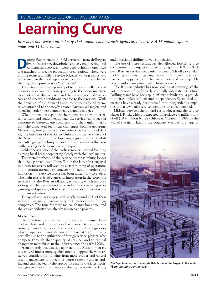# **Learning Curve**

*How does one service an industry that explores and extracts hydrocarbons across 6.56 million square miles and 11 time zones?*

uring Soviet times, oilfield services—from drilling to hydro-fracturing, downhole services, engineering and construction services—were geographically organized and attached to specific production organizations. There were drilling teams and oilfield-service brigades working exclusively in Tyumen, in the Ural region or in Tatarstan, and attached to their regional upstream state "companies."

These teams were a depositary of technical excellence and operational capabilities corresponding to the operating environment where they worked, and the oil and gas fields' structures and reservoir conditions specific to their regions. With the break-up of the Soviet Union, these teams found themselves attached to the newly created Russian oil majors and operating under more commercially sound strategies.

When the majors expanded their operations beyond original centers, and sometimes abroad, the service teams' lack of exposure to different environments and their unfamiliarity with the associated technical challenges became apparent. Meanwhile, foreign service companies that had arrived during the last years of the Soviet Union or at the very dawn of the New Era were in turn displaying a great deal of flexibility, cutting-edge techniques, and business savviness that was badly lacking to the home-grown players.

Schlumberger, one of the earliest movers, started building a strong local base, cooperating closely with the local majors.

The metamorphosis of the service sector is taking longer than the upstream reshuffling. While the latter first engaged in a rush for assets, followed by a streamlining of operations and a certain attempt to concentrate (notably under state implosion), the service sector has been rather slow to evolve. The main reason is, of course, its integration in the corporate structures of the Russian oil and gas majors, which are busy sorting out their upstream concerns before considering reorganizing and spinning off service divisions and other noncore upstream activities.

Today, oil and gas majors still handle around 70% of their services internally, leaving only 30% to local and foreign companies. The time for more radical change has come, and the service industry has already shown some progress.

#### **Modernization**

First and foremost, the needs of the Russian industry have evolved fast, and the industry has learned to become extremely demanding on the services and technologies deployed upstream, midstream and downstream. This is partially due to the influence of foreign service players, who compete through sheer quality of service, and to radical changes in mentalities in the industry since the early 1990s.

From a purely quantitative approach, the Russian industry has moved into a more quality-oriented approach, with renewed consideration ranging from more proper and careful asset management to a need for better reservoir understanding and care backed by the appropriate use of the latest technologies available, from state-of the art reservoir modeling and directional drilling to well stimulation.

The use of these techniques also allowed foreign service companies to charge premiums ranging from 10% to 80% over Russian service companies' prices. With oil prices skyrocketing and easy oil getting thinner, the Russian upstream has been happy to spend the extra buck, and learn quickly how to unlock maximum value from its assets.

The Russian industry has now looking at spinning off the last remnants of its formerly vertically integrated structure. Drilling teams have been spun off into subsidiaries, a prelude to their complete sell-offs and independence. Specialized operations have already been turned into independent companies and a few major service operators have been created.

Midway between the oil and gas producer and the service player is Ritek, which is expected to produce 2.6 million tons of oil (19.4 million barrels) this year. Created in 1992 by the will of the giant Lukoil, the company was put in charge of



**The Zapoliarnoye gas condensate field is one of the largest in the world. (Photo courtesy Stroytransgaz)**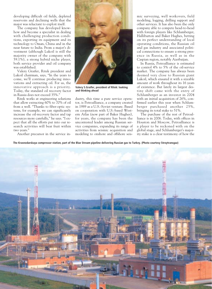developing difficult oil fields, depleted reservoirs and declining wells that the major was reluctant to exploit itself.

The company has developed knowhow and become a specialist in dealing with challenging production conditions, exporting its equipment and its technology to Oman, China and in the near future to India. From a major's divestment (although Lukoil is still the majority owner of the company with 59.1%), a strong hybrid niche player, both service provider and oil company was established.

Valery Graifer, Ritek president and Lukoil chairman, says, "In the years to come, we'll continue producing innovations and extracting oil. For us, the innovative approach is a priority. Today, the standard oil recovery factor in Russia does not exceed 35%."

Ritek works at engineering solutions that allow extracting 60% to 70% of oil from a well. "Thanks to fiber-optic systems, for example, we can significantly increase the oil-recovery factor and tap resources more carefully," he says. "I expect that all the efforts put into our research activities will bear fruit within two years."

Another precursor in the service in-



**Valery S.Graifer, president of Ritek: looking and thinking ahead**

dustry, this time a pure service operator, is Petroalliance, a company created in 1989 as a U.S.-Soviet venture. Based on cooperation with U.S.-based Western Atlas (now part of Baker Hughes), for years, the company has been the uncontested leader among Russian service companies, expanding its range of activities from seismic acquisition and modeling to onshore and offshore seis-

mic surveying, well workovers, field modeling, logging, drilling support and other services. It has also been the only company able to compete head-to-head with foreign players like Schlumberger, Halliburton and Baker Hughes, betting on its perfect understanding of local operating conditions, the Russian oil and gas industry and associated political connections to ensure a strong presence in Russia, as well as in the Caspian region, notably Azerbaijan.

In Russia, Petroalliance is estimated to control 4% to 5% of the oil-service market. The company has always been deemed very close to Russian giant Lukoil, which ensured it with a sizeable amount of work throughout its 16 years of existence. But lately its largest destiny shift came with the entry of Schlumberger as an investor in 2004 with an initial acquisition of 26%, confirmed earlier this year when Schlumberger purchased another 25%, bringing its total stake to 51%.

The purchase of the rest of Petroalliance is in 2006. Today, with offices in Houston and Moscow, Petroalliance is a player to be reckoned with on the global stage, and Schlumberger's majority stake is a clear testimony of how the

**The Krasnodarskaya compressor station, part of the Blue Stream pipeline delivering Russian gas to Turkey. (Photo courtesy Stroytransgaz)**

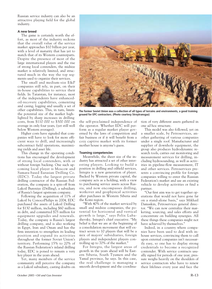Russian service industry can also be an attractive playing field for the global industry.

### **A new breed**

The game is certainly worth the effort, as most of the industry reckons that the overall value of the service market approaches \$10 billion per year, with a level of maturity that has yet to match that of its Western counterparts. Despite the presence of most of the large international players and the rise of strong local contenders, the midsize market is relatively limited, and structured much in the way the top segments used to organize their services.

The small and medium-size E&P companies still rely, in part, on their in-house capabilities to service their fields. In Tatarstan, for instance, most of the independents have enhancedoil-recovery capabilities, cementing and casing, logging and usually a set of other capabilities. This, in turn, limits the potential size of the market highlighted by sharp increases in drilling costs, from \$110 000 to \$300 000 on average in only four years, (yet still well below Western averages).

Higher costs have signaled that companies will have to look for more efficient ways to drill, and increasingly subcontract field operations, maximizing yields and asset life.

This change in the operating conditions has encouraged the development of strong local contenders, with or without foreign backing. One such upcoming local player is Moscow and Samara-based Eurasian Drilling Co. (EDC). Today the largest private drilling contractor of the Russian Federation, the company is a spin-off from Lukoil Bureniye (Drilling), a subsidiary of Russia's largest upstream company.

Following the acquisition of 11% of Lukoil by ConocoPhilips in 2004, EDC purchased the assets of Lukoil Drilling for \$130 million, including \$60 million in debt, and committed \$75 million for equipment upgrades and renewals. Today, the company is Russia's largest drilling company, and is also working in Egypt, Iran and Oman and has the firm intention to strengthen its leading position and expand its activities throughout the former Soviet Union's territory. Performing 15% to 20% of the Russian Federation's inland drilling today, EDC is poised to remain a very key player in the years ahead.

Yet, many members of the service community still perceive the company as a Lukoil subsidiary, casting doubts on



**The former Soviet Union was a collection of all types of terrains and environments, a good training ground for EPC contractors. (Photo courtesy Stroytransgaz)**

the self-proclaimed independence of the operator. Whether EDC will perform as a regular market player governed by the laws of competition and fair business or if it will benefit from a cozy captive market with its former mother house is anyone's guess.

### **Teaming competencies**

Meanwhile, the sheer size of the industry has attracted a set of other interesting players. Looking to build a position in drilling and oilfield services, Integra is a new generation of player. Backed by Western private capital, the company acts as a holding, with a view to purchasing service assets across Russia, and now encompasses drilling, workover and geophysical activities after purchases in Western Siberia and the Komi region.

"With 40% of the market serviced by small and midsize companies, the potential for horizontal and vertical growth is large," says Felix Lubashevsky, Integra's chief executive. "My belief is that we are at the beginning of a consolidation movement that will extract seven to 10 players that will be a mix of majors' subsidiaries, foreign players and independent players controlling up to 70% of the market."

For Integra, the largest areas of growth in the years ahead will be Eastern Siberia, South Tyumen and the Yamal province, he says. In this case, the real challenge is managing a smooth development and the coordination of very different assets gathered in one ad hoc structure.

This model was also followed, yet on a smaller scale, by Petroservices, another gathering of various companies under a single roof. Manufacturer and supplier of downhole equipment, the group also produces hydrodynamic research tools, carries out monitoring and measurement services for drilling, including hydrosounding, as well as activities in pipeline-flow measurement, IT and other services. Petroservices presents a convincing profile for foreign companies willing to enter the Russian Federation's market and use an existing vehicle to develop activities or find a partner.

"Our first aim was to get together operations that would not have gone far on a stand-alone basis," says Mikhail Damaskin, Petroservices general director. "We can now centralize their marketing, sourcing, and sales efforts and concentrate on building synergies. All these things these companies might not have achieved by themselves."

Indeed, in a country where companies have been used to deal with inhouse services, convincing them to call upon external companies isn't necessarily easy, so one has to display strong credentials to become a recognized contender. With service contracts usually signed for periods of one year, pressure weighs heavily on the shoulders of service contractors who have to renew their lifelines every year and face the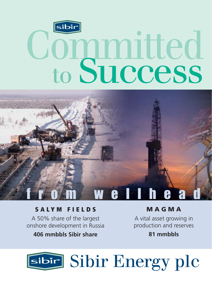



#### **SALYM FIELDS**

A 50% share of the largest onshore development in Russia

# 406 mmbbls Sibir share

**MAGMA** 

A vital asset growing in production and reserves

# 81 mmbbls

# sibir Bnergy plc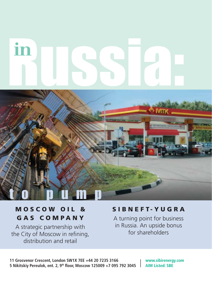# in



# MOSCOW OIL & GAS COMPANY

A strategic partnership with the City of Moscow in refining, distribution and retail

# SIBNEFT-YUGRA

A turning point for business in Russia. An upside bonus for shareholders

11 Grosvenor Crescent, London SW1X 7EE +44 20 7235 3166 5 Nikitskiy Pereulok, ent. 2, 9<sup>th</sup> floor, Moscow 125009 +7 095 792 3045 | AIM Listed: SBE

www.sibirenergy.com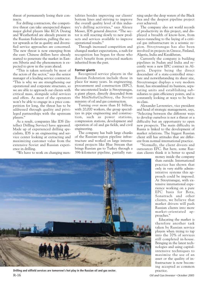threat of permanently losing their contracts.

For drilling contractors, the competitive threat can take unexpected shapes: major global players like KCA Deutag and Weatherford are already present in the Russian Federation, pulling the sector upwards as far as quality and diversified service approaches are concerned. The new threat is now emerging from the east: Chinese drillers have already started to penetrate the market in Eastern Siberia and the phenomenon is expected to grow in the years ahead.

"This is taken seriously by most of the actors of the sector," says the senior manager of a leading service contractor. "This is why we are strengthening our operational and corporate structures, so we are able to approach our clients with critical mass, alongside solid services and offers. As most of the operators won't be able to engage in a price competition for long, the threat has to be addressed through quality and privileged partnerships with the upstream players."

As a result, companies like IDS (Intellect Drilling Service) have appeared. Made up of experienced drilling specialists, IDS is an engineering and service center looking at extracting and maximizing customer value from the extensive Soviet and Russian experience in drilling.

"We have to work on changing men-

talities besides improving our clients' bottom lines and striving to improve the overall quality level of this industry's drilling activities," says Alexey Messer, IDS general director. "The sector is still reacting slowly to new products and services available to improve operational results."

Through increased competition and changed market expectations, a rush for recognition has begun for those who don't benefit from protected markets inherited from the past.

### **Former giants**

Recognized service players in the Russian Federation include those in place for many years. In engineering, procurement and construction (EPC), the uncontested leader is Stroytransgas, a giant player, directly descended from the MinNefteGazStroy, the Soviet ministry of oil and gas construction.

Turning over more than \$1 billion, with 20,000 workers, the group specializes in pipe engineering and construction, such as power stations, compression stations, development and operation of oil and gas fields, and civil engineering.

The company has built large chunks of the Russian-region pipeline infrastructure and worked on large international projects like Blue Stream that brings Russian gas to Turkey through a 396-kilometer pipeline, partially running under the deep waters of the Black Sea and the deepest pipeline project ever achieved.

The company also set world records of productivity in this project, and displayed a breadth of know-how, from micro-tunneling to the laying of a critical gas infrastructure in a seismic region. Stroytransgas has also been involved in projects in Greece, Finland, Algeria, India and Kazakhstan.

Currently the company is building pipelines in Sudan and India and recently won a new EPC contract in Algeria. Despite being the direct descendant of a state-controlled structure and notwithstanding its sheer size, Stroytransgaz displays a very modern front, has streamlined its business, separating units and establishing subsidiaries to gain efficiency points, and is constantly looking at ways to be bestin-class.

Alexander Lavrentiev, vice president and head of strategic management, says, "Selecting between the different ways to develop ourselves is not a threat or a difficulty but an opportunity to open new prospects. The main difficulty in Russia is linked to the development of market relations. The biggest Russian client still has attitudes that are different from normal international practice.

"Normally, the client divests and outsources EPC. But here, some Russian clients think it is better to spend



R-16 *Oil and Gas Investor* ▪ *October 2005* **Drilling and oilfield services are tomorrow's hot play in the Russian oil and gas sector.**

money inside the company than outside. International practice has shown that only in very stable administrative systems this approach could be imposed. At Stroytransgaz, with extensive international experience working on a pure EPC basis for Bota, Sonatrach and other clients, we believe that market drivers will push Russian clients into more market-orientated approaches."

Educating the market is therefore another task taken by Russian service players when trying to tap into the 70% of services still completed in-house. Bringing in the latest technologies and using capitalintensive techniques to maximize the use of an asset or the quality of infrastructure is now becoming accepted as common practice.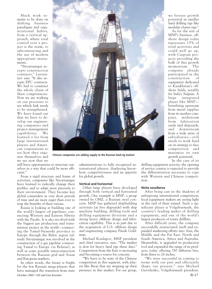Much work remains to be done on shifting business paradigms and organizational habits, from a vertical approach, where total control over a project is the norm, to subcontracting and the use of modern appropriate instruments.

"Stroytransgaz accepts construction contracts," Lavrentiev says. "It also accepts EPC contracts. We had to construct the whole chain of these competencies. Now we are working on our processes to see which link needs to be strengthened. We have found out that we have to develop our engineering companies and project-management capabilities. We learned a lot from large international players and American corporations to see how they organize themselves and we see now that we

**Chinese companies are adding supply to the Russian land-rig market.**

still have opportunities to structure ourselves in a way that could be more efficient."

From a rigid structure and frame of activities, companies like Stroytransgaz have learned to radically change their profiles, and to adapt more precisely to their environment. They became key global contenders in very short periods of time and are more eager than ever to reap the benefits of their visions.

Russia is looking at building one of the world's largest oil pipelines, connecting Western and Eastern Siberia with the Pacific. It is also involved with the biggest gas production and transmission project in the world—connecting the Yamal-Nenetski province to Europe through the Baltic region (already Stroytransgaz was involved in the construction of a gas pipeline connecting Yamal to Europe via Belarus), as well as some possible interconnection between the Russian grid and Asian and European markets.

In other words, the future is bright for the few Russian mega-players that have managed the transition from state *October 2005* ▪ *Oil and Gas Investor* R-17

administrations to fully recognized international players, displaying knowhow, competitiveness and an appetite for global growth.

#### **Vertical and horizontal**

Other large players have developed through both vertical and horizontal growth. One example is MNP, a group owned by OMZ, a Russian steel concern. MNP has gathered shipbuilding activities (at five shipyards) with ship machine building, drilling tools and drilling equipment divisions and a strong heavy offshore design and fabrication capability. This is in part due to the acquisition of U.S. offshore design and engineering company Friede Goldman.

Michael Kosslapov, MNP president and chief executive, says, "The market is slow for heavy land rigs these days." Competition from the East is increasing and becoming a source for concern.

"We have to be wary of the Chinese competition in this segment, with players like Baoji that are stepping up their presence in this market. For our group,

In the case of its drilling equipment activity, the opening of service centers is expected to provide the differentiation necessary to cope with Western and Chinese competition.

we foresee growth potential in smaller land drilling rigs like modular cluster rigs." As for the rest of MNP's business, offshore design today represents 15% of total activities and could well go up, with Caspian projects providing the bulk of this growth momentum. The company already participated in the construction of equipment dedicated to Kazakhstan's offshore fields, notably for Italy's Saipem. A large integrated player like MNP benefiting upstream from metal supplies from its mother company, midstream from fabrication yards and shipyards, and downstream from a wide array of subsidiaries—still needs to work hard on its strategy to face competition and maximize its own growth potential.

#### **Niche excellence**

After being cast in the shadows of unforgiving international competition, local equipment makers are seeing light at the end of their tunnel. Such a significant player is Volgaburmash, the country's leading maker of drilling equipment, and one of the world's largest producers of rotary drillbits.

After difficult years, the company successfully restructured itself and expanded marketing efforts into Asia, the Middle and the Far East, North and South America, Africa and Australia. Meanwhile, it upgraded its production tool and expanded the range of its products, today offering 350 different bits, from three to 26 inches.

"We were successful in coming to terms with our past and efficiently shape our present," says Michail Gavrilenko, Volgaburmash president.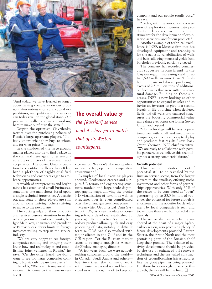

"And today, we have learned to forget about having complexes on our products: after serious efforts and capital expenditures, our quality and our services can today rival on the global stage. Our past in unrivalled and we are working hard to make our future the same."

Despite the optimism, Gavrilenko worries over the purchasing policies of Russia's large upstream players. "Nobody knows what they buy, to whom and for what prices," he says.

In the shadows of the large groups, smaller players also try to find a place in the sun, and here again, offer reasonable opportunities of investment and cooperation. The Soviet Union's tradition for scientific excellence has left behind a plethora of highly qualified technicians and engineers eager to embrace opportunities.

A wealth of entrepreneurs and bright minds has established small businesses, sometimes one-man shows based upon a single technical innovation. A decade on, and some of these players are still around, some thriving, others striving to move to the next phase.

The cutting edge of their products and services deserve attention from the oil and gas investment community, but Igor Melnikov, chairman and president of Petroservices, draws limits to foreign investors willing to step in the service industry.

"We are very happy to see foreign companies coming and bringing their know-how and technologies and establishing joint ventures in Russia," he says. "On the other hand, we don't want to see too many companies coming to Russia only to purchase assets."

He adds, "We want transparent investment to come to the Russian ser**The overall value** *of the [Russian] service market…has yet to match that of its Western counterparts.*

vice sector. We don't like monopolies; we want a fair, open and competitive environment."

Examples of local exciting players abound. Geokosmos creates and supplies 3-D terrain and engineering structures models and large-scale digital topographic maps, allowing the precise 3-D visualization of terrain as well as structures over it, even complicated ones like oil and gas treatment plants.

Meanwhie, Geophysical Data Systems (GDS) is a seismic-data-processing software developer established 13 years ago. Its Interactive Statics Technology product allows quick and easy processing of data, notably in difficult terrain. GDS has also worked with major clients in the Gulf and in the CIS region. Yet the Russian market seems to be ample enough for Alexander Zhukov, managing director.

"A few years back, we were actively seeking customers around the world in Canada, Saudi Arabia and others but since then, the volume of work with Russia has picked up, and has provided us with enough work to keep our company and our people totally busy," he says.

"Today, with the announced conversion of exploration licenses into production licenses, we see a good stimulant for the development of exploration activities, and for our products."

Another example of technical excellence is INEF, a Moscow firm that has developed equipment and techniques for the acoustic rehabilitation of wells and beds, allowing increased yields from boreholes previously partially clogged.

The company has recorded commercial successes in Russia and in the Caspian region, increasing yield in up to 1,500 wells in more than 50 fields both in Russia and abroad, producing in excess of 2.5 million tons of additional oil from wells that were suffering structural damage. Building on these successes, INEF is now looking at other opportunities to expand its sales and to invite an investor to give it a second breath of life at a time when depleted fields, old oil wells and damaged structures are boosting commercial value more than ever across the former Soviet Union and beyond.

"Our technology will be very popular tomorrow with small and medium-size companies, as it is cheap, easy to deploy and produces fast results," says Isaak Orentlikherman, INEF chief executive. "We are ready to collaborate with possible partners, as we believe this technology has a strong commercial future."

### **Growth potential**

This example illustrates the sort of potential still to be revealed by the Russian service sector, from the largest players to the smallest, offering niche investment and other forms of partnerships opportunities. With only 30% of the sector to be considered as "open" generating up to \$3.5 billion of revenue, the potential for future growth is enormous and the appetite for development by local companies is real, and today more than ever built on solid credentials.

The sector also remains firmly anchored at the heart of a major hydrocarbon region, also promising plenty of future developments provided Eastern Siberia, the Arctic North and the most promising parts of the Russian shelf keep their promise. The balance of activity development should be provided by the use of enhanced-oil-recovery techniques and the unrivalled construction of groundbreaking infrastructures like the giant pipelines being planned. For those lucky enough to service this growth, the sky will be the limit.  $\Box$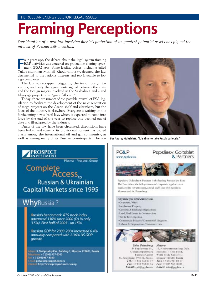# **Framing Perceptions**

*Consideration of a new law involving Russia's protection of its greatest-potential assets has piqued the interest of Russian E&P investors.*

Four years ago, the debate about the legal system framing<br>
F&P activities was centered on production-sharing agreement (PSA) laws. Some leading voices, including jailed<br>
Yukos chairman Mikhail Khodorkhowsky, deemed the law E&P activities was centered on production-sharing agreement (PSA) laws. Some leading voices, including jailed Yukos chairman Mikhail Khodorkhovsky, deemed the law detrimental to the nation's interests and too favorable to foreign companies.

The law was scrapped, triggering the ire of foreign investors, and only the agreements signed between the state and the foreign majors involved in the Sakhalin 1 and 2 and Kharyaga projects were "grandfathered."

Today, there are rumors of the possible revival of PSA legislation to facilitate the development of the next generation of mega-projects on the Arctic shelf and elsewhere, but the focus of the industry is elsewhere. Everyone is waiting on the forthcoming new subsoil law, which is expected to come into force by the end of the year to replace one deemed out of date and ill-adapted by the industry.

Drafts of the law have been circulated, dispositions have been leaked and some of its provisional content has caused alarm among the international oil and gas community, as well as among many of its Russian counterparts. The an-



**For Andrey Goltsblatt, "it is time to take Russia seriously."**